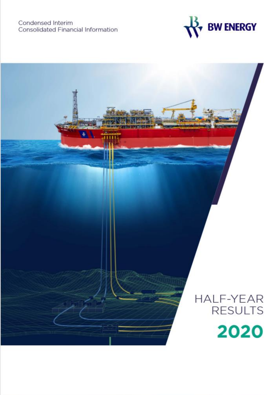

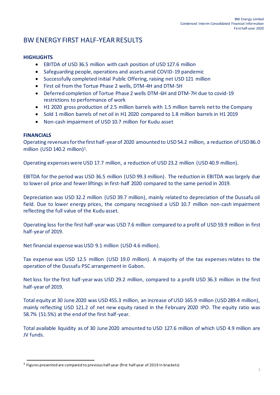# BW ENERGY FIRST HALF-YEAR RESULTS

### **HIGHLIGHTS**

- EBITDA of USD 36.5 million with cash position of USD 127.6 million
- Safeguarding people, operations and assets amid COVID-19 pandemic
- Successfully completed Initial Public Offering, raising net USD 121 million
- First oil from the Tortue Phase 2 wells, DTM-4H and DTM-5H
- Deferred completion of Tortue Phase 2 wells DTM-6H and DTM-7H due to covid-19 restrictions to performance of work
- H1 2020 gross production of 2.5 million barrels with 1.5 million barrels net to the Company
- Sold 1 million barrels of net oil in H1 2020 compared to 1.8 million barrels in H1 2019
- Non-cash impairment of USD 10.7 million for Kudu asset

#### **FINANCIALS**

Operating revenues for the first half-year of 2020 amounted to USD 54.2 million, a reduction of USD 86.0 million (USD 140.2 million)<sup>1</sup>.

Operating expenses were USD 17.7 million, a reduction of USD 23.2 million (USD 40.9 million).

EBITDA for the period was USD 36.5 million (USD 99.3 million). The reduction in EBITDA was largely due to lower oil price and fewer liftings in first-half 2020 compared to the same period in 2019.

Depreciation was USD 32.2 million (USD 39.7 million), mainly related to depreciation of the Dussafu oil field. Due to lower energy prices, the company recognised a USD 10.7 million non-cash impairment reflecting the full value of the Kudu asset.

Operating loss for the first half-year was USD 7.6 million compared to a profit of USD 59.9 million in first half-year of 2019.

Net financial expense was USD 9.1 million (USD 4.6 million).

Tax expense was USD 12.5 million (USD 19.0 million). A majority of the tax expenses relates to the operation of the Dussafu PSC arrangement in Gabon.

Net loss for the first half-year was USD 29.2 million, compared to a profit USD 36.3 million in the first half-year of 2019.

Total equity at 30 June 2020 was USD 455.3 million, an increase of USD 165.9 million (USD 289.4 million), mainly reflecting USD 121.2 of net new equity raised in the February 2020 IPO. The equity ratio was 58.7% (51.5%) at the end of the first half-year.

Total available liquidity as of 30 June 2020 amounted to USD 127.6 million of which USD 4.9 million are JV funds.

 $^1$  Figures presented are compared to previous half-year (first half-year of 2019 in brackets)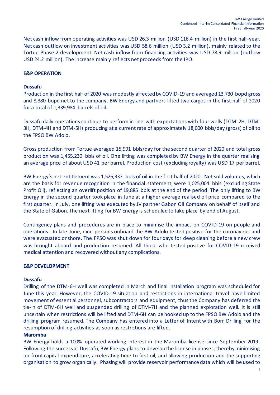Net cash inflow from operating activities was USD 26.3 million (USD 116.4 million) in the first half-year. Net cash outflow on investment activities was USD 58.6 million (USD 3.2 million), mainly related to the Tortue Phase 2 development. Net cash inflow from financing activities was USD 78.9 million (outflow USD 24.2 million). The increase mainly reflects net proceeds from the IPO.

### **E&P OPERATION**

#### **Dussafu**

Production in the first half of 2020 was modestly affected by COVID-19 and averaged 13,730 bopd gross and 8,380 bopd net to the company. BW Energy and partners lifted two cargos in the first half of 2020 for a total of 1,339,984 barrels of oil.

Dussafu daily operations continue to perform in line with expectations with four wells (DTM-2H, DTM-3H, DTM-4H and DTM-5H) producing at a current rate of approximately 18,000 bbls/day (gross) of oil to the FPSO BW Adolo.

Gross production from Tortue averaged 15,991 bbls/day for the second quarter of 2020 and total gross production was 1,455,230 bbls of oil. One lifting was completed by BW Energy in the quarter realising an average price of about USD 41 per barrel. Production cost (excluding royalty) was USD 17 per barrel.

BW Energy's net entitlement was 1,526,337 bbls of oil in the first half of 2020. Net sold volumes, which are the basis for revenue recognition in the financial statement, were 1,025,004 bbls (excluding State Profit Oil), reflecting an overlift position of 19,885 bbls at the end of the period. The only lifting to BW Energy in the second quarter took place in June at a higher average realised oil price compared to the first quarter. In July, one lifting was executed by JV partner Gabon Oil Company on behalf of itself and the State of Gabon. The next lifting for BW Energy is scheduled to take place by end of August.

Contingency plans and procedures are in place to minimise the impact on COVID-19 on people and operations. In late June, nine persons onboard the BW Adolo tested positive for the coronavirus and were evacuated onshore. The FPSO was shut down for four days for deep cleaning before a new crew was brought aboard and production resumed. All those who tested positive for COVID-19 received medical attention and recovered without any complications.

#### **E&P DEVELOPMENT**

#### **Dussafu**

Drilling of the DTM-6H well was completed in March and final installation program was scheduled for June this year. However, the COVID-19 situation and restrictions in international travel have limited movement of essential personnel, subcontractors and equipment, thus the Company has deferred the tie-in of DTM-6H well and suspended drilling of DTM-7H and the planned exploration well. It is still uncertain when restrictions will be lifted and DTM-6H can be hooked up to the FPSO BW Adolo and the drilling program resumed. The Company has entered into a Letter of Intent with Borr Drilling for the resumption of drilling activities as soon as restrictions are lifted.

#### **Maromba**

BW Energy holds a 100% operated working interest in the Maromba license since September 2019. Following the success at Dussafu, BW Energy plans to develop the license in phases, thereby minimising up-front capital expenditure, accelerating time to first oil, and allowing production and the supporting organisation to grow organically. Phasing will provide reservoir performance data which will be used to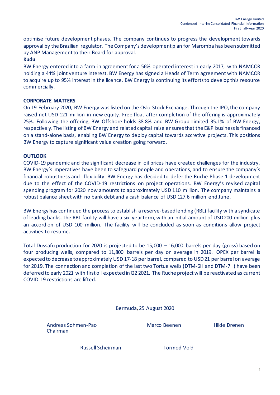optimise future development phases. The company continues to progress the development towards approval by the Brazilian regulator. The Company's development plan for Maromba has been submitted by ANP Management to their Board for approval.

#### **Kudu**

BW Energy entered into a farm-in agreement for a 56% operated interest in early 2017, with NAMCOR holding a 44% joint venture interest. BW Energy has signed a Heads of Term agreement with NAMCOR to acquire up to 95% interest in the licence. BW Energy is continuing its efforts to develop this resource commercially.

#### **CORPORATE MATTERS**

On 19 February 2020, BW Energy was listed on the Oslo Stock Exchange. Through the IPO, the company raised net USD 121 million in new equity. Free float after completion of the offering is approximately 25%. Following the offering, BW Offshore holds 38.8% and BW Group Limited 35.1% of BW Energy, respectively. The listing of BW Energy and related capital raise ensuresthat the E&P business is financed on a stand-alone basis, enabling BW Energy to deploy capital towards accretive projects. This positions BW Energy to capture significant value creation going forward.

#### **OUTLOOK**

COVID-19 pandemic and the significant decrease in oil prices have created challenges for the industry. BW Energy's imperatives have been to safeguard people and operations, and to ensure the company's financial robustness and -flexibility. BW Energy has decided to defer the Ruche Phase 1 development due to the effect of the COVID-19 restrictions on project operations. BW Energy's revised capital spending program for 2020 now amounts to approximately USD 110 million. The company maintains a robust balance sheet with no bank debt and a cash balance of USD 127.6 million end June.

BW Energy has continued the process to establish a reserve-based lending (RBL) facility with a syndicate of leading banks. The RBL facility will have a six-year term, with an initial amount of USD 200 million plus an accordion of USD 100 million. The facility will be concluded as soon as conditions allow project activities to resume.

Total Dussafu production for 2020 is projected to be  $15,000 - 16,000$  barrels per day (gross) based on four producing wells, compared to 11,800 barrels per day on average in 2019. OPEX per barrel is expected to decrease to approximately USD 17-18 per barrel, compared to USD 21 per barrel on average for 2019. The connection and completion of the last two Tortue wells (DTM-6H and DTM-7H) have been deferred to early 2021 with first oil expected in Q2 2021. The Ruche project will be reactivated as current COVID-19 restrictions are lifted.

Bermuda, 25 August 2020

Andreas Sohmen-Pao **Marco Beenen** Hilde Drønen Chairman

Russell Scheirman Tormod Vold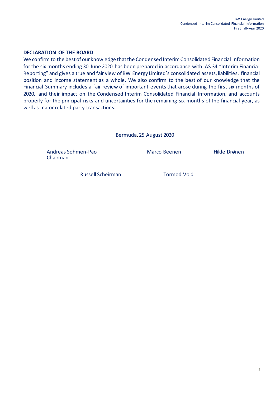#### **DECLARATION OF THE BOARD**

We confirm to the best of our knowledge that the Condensed Interim Consolidated Financial Information for the six months ending 30 June 2020 has been prepared in accordance with IAS 34 "Interim Financial Reporting" and gives a true and fair view of BW Energy Limited's consolidated assets, liabilities, financial position and income statement as a whole. We also confirm to the best of our knowledge that the Financial Summary includes a fair review of important events that arose during the first six months of 2020, and their impact on the Condensed Interim Consolidated Financial Information, and accounts properly for the principal risks and uncertainties for the remaining six months of the financial year, as well as major related party transactions.

Bermuda, 25 August 2020

Andreas Sohmen-Pao Marco Beenen Hilde Drønen Chairman

Russell Scheirman Tormod Vold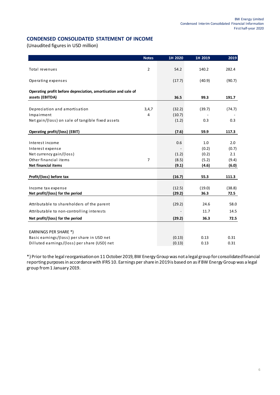#### **CONDENSED CONSOLIDATED STATEMENT OF INCOME**

(Unaudited figures in USD million)

|                                                                                   | <b>Notes</b>   | 1H 2020         | 1H 2019 | 2019   |
|-----------------------------------------------------------------------------------|----------------|-----------------|---------|--------|
| Total revenues                                                                    | $\overline{2}$ | 54.2            | 140.2   | 282.4  |
| Operating expenses                                                                |                | (17.7)          | (40.9)  | (90.7) |
| Operating profit before depreciation, amortisation and sale of<br>assets (EBITDA) |                | 36.5            | 99.3    | 191.7  |
|                                                                                   |                |                 |         |        |
| Depreciation and amortisation                                                     | 3,4,7          | (32.2)          | (39.7)  | (74.7) |
| Impairment<br>Net gain/(loss) on sale of tangible fixed assets                    | 4              | (10.7)<br>(1.2) | 0.3     | 0.3    |
| Operating profit/(loss) (EBIT)                                                    |                | (7.6)           | 59.9    | 117.3  |
|                                                                                   |                |                 |         |        |
| Interest income                                                                   |                | 0.6             | 1.0     | 2.0    |
| Interest expense                                                                  |                |                 | (0.2)   | (0.7)  |
| Net currency gain/(loss)                                                          |                | (1.2)           | (0.2)   | 2.1    |
| Other financial items                                                             | $\overline{7}$ | (8.5)           | (5.2)   | (9.4)  |
| Net financial items                                                               |                | (9.1)           | (4.6)   | (6.0)  |
| Profit/(loss) before tax                                                          |                | (16.7)          | 55.3    | 111.3  |
|                                                                                   |                |                 |         |        |
| Income tax expense                                                                |                | (12.5)          | (19.0)  | (38.8) |
| Net profit/(loss) for the period                                                  |                | (29.2)          | 36.3    | 72.5   |
| Attributable to shareholders of the parent                                        |                | (29.2)          | 24.6    | 58.0   |
| Attributable to non-controlling interests                                         |                |                 | 11.7    | 14.5   |
| Net profit/(loss) for the period                                                  |                | (29.2)          | 36.3    | 72.5   |
|                                                                                   |                |                 |         |        |
| EARNINGS PER SHARE *)                                                             |                |                 |         |        |
| Basic earnings/(loss) per share in USD net                                        |                | (0.13)          | 0.13    | 0.31   |
| Dilluted earnings/(loss) per share (USD) net                                      |                | (0.13)          | 0.13    | 0.31   |

\*) Prior to the legal reorganisation on 11 October 2019, BW Energy Group was not a legal group for consolidated financial reporting purposes in accordance with IFRS 10. Earnings per share in 2019is based on as if BW Energy Group was a legal group from 1 January 2019.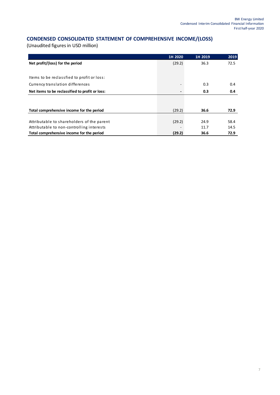## **CONDENSED CONSOLIDATED STATEMENT OF COMPREHENSIVE INCOME/(LOSS)**

|                                                 | 1H 2020 | 1H 2019 | 2019 |
|-------------------------------------------------|---------|---------|------|
| Net profit/(loss) for the period                | (29.2)  | 36.3    | 72.5 |
|                                                 |         |         |      |
| Items to be reclassfied to profit or loss:      |         |         |      |
| Currency translation differences                |         | 0.3     | 0.4  |
| Net items to be reclassified to profit or loss: |         | 0.3     | 0.4  |
|                                                 |         |         |      |
| Total comprehensive income for the period       | (29.2)  | 36.6    | 72.9 |
|                                                 |         |         |      |
| Attributable to shareholders of the parent      | (29.2)  | 24.9    | 58.4 |
| Attributable to non-controlling interests       |         | 11.7    | 14.5 |
| Total comprehensive income for the period       | (29.2)  | 36.6    | 72.9 |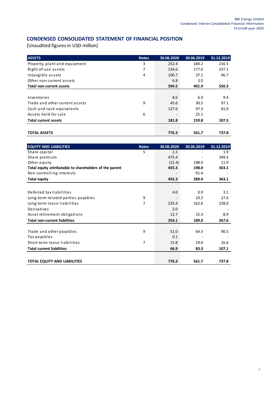#### **CONDENSED CONSOLIDATED STATEMENT OF FINANCIAL POSITION**

| <b>ASSETS</b>                  | <b>Notes</b> | 30.06.2020 | 30.06.2019 | 31.12.2019 |
|--------------------------------|--------------|------------|------------|------------|
| Property, plant and equipment  | 3            | 252.4      | 184.2      | 216.5      |
| Right-of-use assets            | 7            | 234.6      | 177.6      | 237.1      |
| Intangible assets              | 4            | 100.7      | 37.1       | 96.7       |
| Other non-current assets       |              | 6.8        | 3.0        |            |
| Total non-current assets       |              | 594.5      | 401.9      | 550.3      |
|                                |              |            |            |            |
| Inventories                    |              | 8.6        | 6.9        | 9.4        |
| Trade and other current assets | 9            | 45.6       | 30.5       | 97.1       |
| Cash and cash equivalents      |              | 127.6      | 97.3       | 81.0       |
| Assets held for sale           | 6            |            | 25.1       |            |
| <b>Total current assets</b>    |              | 181.8      | 159.8      | 187.5      |
|                                |              |            |            |            |
| <b>TOTAL ASSETS</b>            |              | 776.3      | 561.7      | 737.8      |

| <b>EQUITY AND LIABILITIES</b>                           | <b>Notes</b> | 30.06.2020 | 30.06.2019 | 31.12.2019 |
|---------------------------------------------------------|--------------|------------|------------|------------|
| Share capital                                           | 5            | 2.3        |            | 1.9        |
| Share premium                                           |              | 475.4      |            | 349.3      |
| Other equity                                            |              | (22.4)     | 198.0      | 11.9       |
| Total equity attributable to shareholders of the parent |              | 455.3      | 198.0      | 363.1      |
| Non-controlling interests                               |              |            | 91.4       |            |
| <b>Total equity</b>                                     |              | 455.3      | 289.4      | 363.1      |
|                                                         |              |            |            |            |
| Deferred tax liabilities                                |              | 4.0        | 0.9        | 3.1        |
| Long-term related parties payables                      | 9            |            | 10.2       | 27.6       |
| Long-term lease liabilities                             | 7            | 235.4      | 162.6      | 228.0      |
| Derivatives                                             |              | 2.0        |            |            |
| Asset retirement obligations                            |              | 12.7       | 15.3       | 8.9        |
| <b>Total non-current liabilities</b>                    |              | 254.1      | 189.0      | 267.6      |
|                                                         |              |            |            |            |
| Trade and other payables                                | 9            | 51.0       | 64.3       | 90.5       |
| Tax payables                                            |              | 0.1        |            |            |
| Short-term lease liabilities                            | 7            | 15.8       | 19.0       | 16.6       |
| <b>Total current liabilities</b>                        |              | 66.9       | 83.3       | 107.1      |
|                                                         |              |            |            |            |
| <b>TOTAL EQUITY AND LIABILITIES</b>                     |              | 776.3      | 561.7      | 737.8      |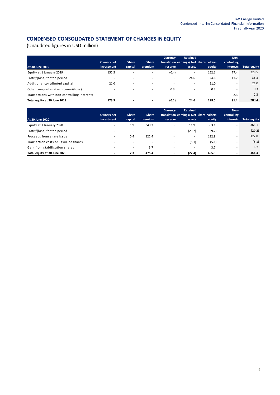# **CONDENSED CONSOLIDATED STATEMENT OF CHANGES IN EQUITY**

|                                             |                          |                          |                          | <b>Currency</b> | <b>Retained</b>          |                                         | Non-             |                     |
|---------------------------------------------|--------------------------|--------------------------|--------------------------|-----------------|--------------------------|-----------------------------------------|------------------|---------------------|
|                                             | <b>Owners net</b>        | <b>Share</b>             | <b>Share</b>             |                 |                          | translation earnings/ Net Share-holders | controlling      |                     |
| At 30 June 2019                             | investment               | capital                  | premium                  | reserve         | assets                   | equity                                  | <b>interests</b> | <b>Total equity</b> |
| Equity at 1 January 2019                    | 152.5                    |                          | $\overline{\phantom{a}}$ | (0.4)           | $\overline{\phantom{a}}$ | 152.1                                   | 77.4             | 229.5               |
| Profit/(loss) for the period                | $\overline{\phantom{a}}$ | $\overline{\phantom{a}}$ | $\overline{\phantom{a}}$ | $\sim$          | 24.6                     | 24.6                                    | 11.7             | 36.3                |
| Additional contributed capital              | 21.0                     | ۰                        | $\overline{\phantom{a}}$ | ۰               | $\overline{\phantom{a}}$ | 21.0                                    |                  | 21.0                |
| Other comprehensive income/(loss)           | $\overline{\phantom{a}}$ |                          | $\overline{\phantom{a}}$ | 0.3             | ۰                        | 0.3                                     | ۰                | 0.3                 |
| Transactions with non-controlling interests |                          | $\overline{\phantom{a}}$ | $\overline{\phantom{a}}$ | ۰               |                          | $\sim$                                  | 2.3              | 2.3                 |
| Total equity at 30 June 2019                | 173.5                    | $\overline{\phantom{a}}$ | $\overline{\phantom{a}}$ | (0.1)           | 24.6                     | 198.0                                   | 91.4             | 289.4               |

|                                      |                          |                          |                          | Currency                 | <b>Retained</b>          |                                         | Non-                     |                     |
|--------------------------------------|--------------------------|--------------------------|--------------------------|--------------------------|--------------------------|-----------------------------------------|--------------------------|---------------------|
|                                      | Owners net               | <b>Share</b>             | <b>Share</b>             |                          |                          | translation earnings/ Net Share-holders | controlling              |                     |
| At 30 June 2020                      | investment               | capital                  | premium                  | reserve                  | assets                   | equity                                  | <b>interests</b>         | <b>Total equity</b> |
| Equity at 1 January 2020             | $\overline{\phantom{a}}$ | 1.9                      | 349.3                    | ۰                        | 11.9                     | 363.1                                   | ۰                        | 363.1               |
| Profit/(loss) for the period         | $\overline{\phantom{a}}$ | $\overline{\phantom{a}}$ | $\overline{\phantom{a}}$ | ۰                        | (29.2)                   | (29.2)                                  | $\overline{\phantom{a}}$ | (29.2)              |
| Proceeds from share issue            | ۰                        | 0.4                      | 122.4                    | ۰                        |                          | 122.8                                   | ۰                        | 122.8               |
| Transaction costs on issue of shares | -                        | $\overline{\phantom{a}}$ | $\overline{\phantom{a}}$ |                          | (5.1)                    | (5.1)                                   | -                        | (5.1)               |
| Gain from stabilisation shares       | ۰                        | $\overline{\phantom{a}}$ | 3.7                      | ۰                        | $\overline{\phantom{a}}$ | 3.7                                     | ۰                        | 3.7                 |
| Total equity at 30 June 2020         | $\overline{\phantom{a}}$ | 2.3                      | 475.4                    | $\overline{\phantom{a}}$ | (22.4)                   | 455.3                                   | $\overline{\phantom{0}}$ | 455.3               |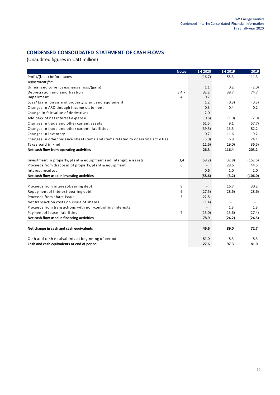### **CONDENSED CONSOLIDATED STATEMENT OF CASH FLOWS**

|                                                                                | <b>Notes</b>   | 1H 2020 | 1H 2019                  | 2019                     |
|--------------------------------------------------------------------------------|----------------|---------|--------------------------|--------------------------|
| Profit/(loss) before taxes                                                     |                | (16.7)  | 55.3                     | 111.3                    |
| Adjustment for:                                                                |                |         |                          |                          |
| Unrealised currency exchange loss/(gain)                                       |                | 1.1     | 0.2                      | (2.0)                    |
| Depreciation and amortisation                                                  | 3,4,7          | 32.2    | 39.7                     | 74.7                     |
| Impairment                                                                     | 4              | 10.7    | $\overline{\phantom{a}}$ | $\overline{\phantom{a}}$ |
| Loss/ (gain) on sale of property, plant and equipment                          |                | 1.2     | (0.3)                    | (0.3)                    |
| Changes in ARO through income statement                                        |                | 0.3     | 0.4                      | 0.2                      |
| Change in fair value of derivatives                                            |                | 2.0     | $\blacksquare$           |                          |
| Add back of net interest expense                                               |                | (0.6)   | (1.0)                    | (2.0)                    |
| Changes in trade and other current assets                                      |                | 51.5    | 9.1                      | (57.7)                   |
| Changes in trade and other current liabilities                                 |                | (39.5)  | 13.5                     | 82.2                     |
| Changes in inventory                                                           |                | 0.7     | 11.6                     | 9.2                      |
| Changes in other balance sheet items and items related to operating activities |                | (5.0)   | 6.9                      | 24.1                     |
| Taxes paid in kind                                                             |                | (11.6)  | (19.0)                   | (36.5)                   |
| Net cash flow from operating activities                                        |                | 26.3    | 116.4                    | 203.2                    |
|                                                                                |                |         |                          |                          |
| Investment in property, plant & equipment and intangible assets                | 3,4            | (59.2)  | (32.8)                   | (152.5)                  |
| Proceeds from disposal of property, plant & equipment                          | 6              |         | 28.6                     | 44.5                     |
| Interest received                                                              |                | 0.6     | 1.0                      | 2.0                      |
| Net cash flow used in investing activities                                     |                | (58.6)  | (3.2)                    | (106.0)                  |
|                                                                                |                |         |                          |                          |
| Proceeds from interest-bearing debt                                            | 9              |         | 16.7                     | 30.2                     |
| Repayment of interest-bearing debt                                             | 9              | (27.5)  | (28.6)                   | (28.6)                   |
| Proceeds from share issue                                                      | 5              | 122.8   | $\overline{\phantom{a}}$ |                          |
| Net transaction costs on issue of shares                                       | 5              | (1.4)   | $\overline{\phantom{a}}$ |                          |
| Proceeds from transactions with non-controlling interests                      |                |         | 1.3                      | 1.3                      |
| Payment of lease liabilities                                                   | $\overline{7}$ | (15.0)  | (13.6)                   | (27.4)                   |
| Net cash flow used in financing activities                                     |                | 78.9    | (24.2)                   | (24.5)                   |
|                                                                                |                |         |                          |                          |
| Net change in cash and cash equivalents                                        |                | 46.6    | 89.0                     | 72.7                     |
|                                                                                |                |         |                          |                          |
| Cash and cash equivalents at beginning of period                               |                | 81.0    | 8.3                      | 8.3                      |
| Cash and cash equivalents at end of period                                     |                | 127.6   | 97.3                     | 81.0                     |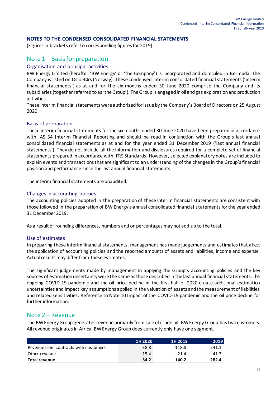#### **NOTES TO THE CONDENSED CONSOLIDATED FINANCIAL STATEMENTS**

(Figures in brackets refer to corresponding figures for 2019)

### Note 1 – Basis for preparation

#### Organisation and principal activities

BW Energy Limited (herafter 'BW Energy' or 'the Company') is incorporated and domiciled in Bermuda. The Company is listed on Oslo Børs (Norway). These condensed interim consolidated financial statements ('interim financial statements') as at and for the six months ended 30 June 2020 comprise the Company and its subsidiaries (together referred to as 'the Group'). The Group is engaged in oil and gas exploration and production activities.

These interim financial statements were authorised for issue by the Company's Board of Directors on 25 August 2020.

#### Basis of preparation

These interim financial statements for the six months ended 30 June 2020 have been prepared in accordance with IAS 34 Interim Financial Reporting and should be read in conjunction with the Group's last annual consolidated financial statements as at and for the year ended 31 December 2019 ('last annual financial statements'). They do not include all the information and disclosures required for a complete set of financial statements prepared in accordance with IFRS Standards. However, selected explanatory notes are included to explain events and transactions that are significant to an understanding of the changes in the Group's financial position and performance since the last annual financial statements.

The interim financial statements are unaudited.

#### Changes in accounting policies

The accounting policies adopted in the preparation of these interim financial statements are consistent with those followed in the preparation of BW Energy's annual consolidated financial statements for the year ended 31 December 2019.

As a result of rounding differences, numbers and or percentages may not add up to the total.

#### Use of estimates

In preparing these interim financial statements, management has made judgements and estimates that affect the application of accounting policies and the reported amounts of assets and liabilities, income and expense. Actual results may differ from these estimates.

The significant judgements made by management in applying the Group's accounting policies and the key sources of estimation uncertainty were the same as those described in the last annual financial statements. The ongoing COVID-19 pandemic and the oil price decline in the first half of 2020 create additional estimation uncertainties and impact key assumptions applied in the valuation of assets and the measurement of liabilities and related sensitivities. Reference to Note 10 Impact of the COVID-19 pandemic and the oil price decline for further information.

#### Note 2 – Revenue

The BW Energy Group generates revenue primarily from sale of crude oil. BW Energy Group has two customers. All revenue originatesin Africa. BW Energy Group does currently only have one segment.

|                                       | 1H 2020 | 1H 2019 | 2019  |
|---------------------------------------|---------|---------|-------|
| Revenue from contracts with customers | 38.8    | 118.8   | 241.1 |
| Other revenue                         | 15.4    | 21.4    | 41.3  |
| Total revenue                         | 54.2    | 140.2   | 282.4 |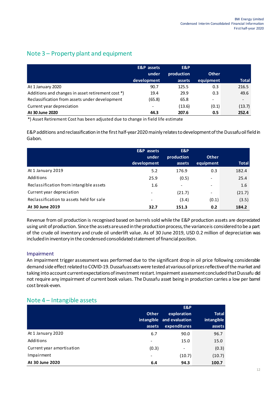# Note 3 – Property plant and equipment

|                                                   | <b>E&amp;P</b> assets    | E&P        |              |              |
|---------------------------------------------------|--------------------------|------------|--------------|--------------|
|                                                   | under                    | production | <b>Other</b> |              |
|                                                   | development              | assets     | equipment    | <b>Total</b> |
| At 1 January 2020                                 | 90.7                     | 125.5      | 0.3          | 216.5        |
| Additions and changes in asset retirement cost *) | 19.4                     | 29.9       | 0.3          | 49.6         |
| Reclassification from assets under development    | (65.8)                   | 65.8       | -            |              |
| Current year depreciation                         | $\overline{\phantom{0}}$ | (13.6)     | (0.1)        | (13.7)       |
| At 30 June 2020                                   | 44.3                     | 207.6      | 0.5          | 252.4        |

\*) Asset Retirement Cost has been adjusted due to change in field life estimate

E&P additions and reclassification in the first half-year 2020mainly relatesto development of the Dussafu oil field in Gabon.

|                                          | <b>E&amp;P</b> assets<br>under<br>development | E&P<br>production<br>assets | <b>Other</b><br>equipment | <b>Total</b> |
|------------------------------------------|-----------------------------------------------|-----------------------------|---------------------------|--------------|
| At 1 January 2019                        | 5.2                                           | 176.9                       | 0.3                       | 182.4        |
| Additions                                | 25.9                                          | (0.5)                       | $\overline{\phantom{a}}$  | 25.4         |
| Reclassification from intangible assets  | 1.6                                           | $\qquad \qquad -$           | $\overline{\phantom{a}}$  | 1.6          |
| Current year depreciation                | $\overline{\phantom{0}}$                      | (21.7)                      | $\overline{\phantom{a}}$  | (21.7)       |
| Reclassification to assets held for sale |                                               | (3.4)                       | (0.1)                     | (3.5)        |
| At 30 June 2019                          | 32.7                                          | 151.3                       | 0.2                       | 184.2        |

Revenue from oil production is recognised based on barrels sold while the E&P production assets are depreciated using unit of production. Since the assets are used in the production process, the variance is considered to be a part of the crude oil inventory and crude oil underlift value. As of 30 June 2019, USD 0.2 million of depreciation was included in inventory in the condensed consolidated statement of financial position.

#### Impairment

An impairment trigger assessment was performed due to the significant drop in oil price following considerable demand side effect related to COVID-19. Dussafu assets were tested at various oil prices reflective of the market and taking into account current expectations of investment restart. Impairment assessment concluded that Dussafu did not require any impairment of current book values. The Dussafu asset being in production carries a low per barrel cost break-even.

|                           | <b>Other</b><br>assets | E&P<br>exploration<br>intangible and evaluation<br>expenditures | <b>Total</b><br>intangible<br>assets |
|---------------------------|------------------------|-----------------------------------------------------------------|--------------------------------------|
| At 1 January 2020         | 6.7                    | 90.0                                                            | 96.7                                 |
| Additions                 | ۰                      | 15.0                                                            | 15.0                                 |
| Current year amortisation | (0.3)                  | $\overline{\phantom{a}}$                                        | (0.3)                                |
| Impairment                |                        | (10.7)                                                          | (10.7)                               |
| At 30 June 2020           | 6.4                    | 94.3                                                            | 100.7                                |

## Note 4 – Intangible assets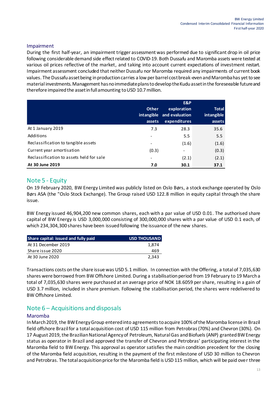### Impairment

During the first half-year, an impairment trigger assessment was performed due to significant drop in oil price following considerable demand side effect related to COVID-19. Both Dussafu and Maromba assets were tested at various oil prices reflective of the market, and taking into account current expectations of investment restart. Impairment assessment concluded that neither Dussafu nor Maromba required any impairments of current book values. The Dussafu asset being in production carries a low per barrel cost break-even and Maromba has yet to see material investments. Management has no immediate plans to develop the Kudu asset in the foreseeable future and therefore impaired the asset in full amounting to USD 10.7million.

|                                          | <b>Other</b><br>intangible<br>assets | E&P<br>exploration<br>and evaluation<br>expenditures | <b>Total</b><br>intangible<br>assets |
|------------------------------------------|--------------------------------------|------------------------------------------------------|--------------------------------------|
| At 1 January 2019                        | 7.3                                  | 28.3                                                 | 35.6                                 |
| Additions                                | $\overline{\phantom{0}}$             | 5.5                                                  | 5.5                                  |
| Reclassification to tangible assets      | -                                    | (1.6)                                                | (1.6)                                |
| Current year amortisation                | (0.3)                                | $\overline{\phantom{a}}$                             | (0.3)                                |
| Reclassification to assets held for sale |                                      | (2.1)                                                | (2.1)                                |
| At 30 June 2019                          | 7.0                                  | 30.1                                                 | 37.1                                 |

## Note 5 - Equity

On 19 February 2020, BW Energy Limited was publicly listed on Oslo Børs, a stock exchange operated by Oslo Børs ASA (the "Oslo Stock Exchange). The Group raised USD 122.8 million in equity capital through the share issue.

BW Energy issued 46,904,200 new common shares, each with a par value of USD 0.01. The authorised share capital of BW Energy is USD 3,000,000 consisting of 300,000,000 shares with a par value of USD 0.1 each, of which 234,304,300 shares have been issued following the issuance of the new shares.

| Share capital: issued and fully paid | <b>USD THOUSAND</b> |
|--------------------------------------|---------------------|
| At 31 December 2019                  | 1.874               |
| Share issue 2020                     | 469                 |
| At 30 June 2020                      | 2.343               |

Transactions costs on the share issue was USD 5.1 million. In connection with the Offering, a total of 7,035,630 shares were borrowed from BW Offshore Limited. During a stabilisation period from 19 February to 19 March a total of 7,035,630 shares were purchased at an average price of NOK 18.6059 per share, resulting in a gain of USD 3.7 million, included in share premium. Following the stabilisation period, the shares were redelivered to BW Offshore Limited.

## Note 6 – Acquisitions and disposals

#### Maromba

In March 2019, the BW Energy Group entered into agreements to acquire 100% of the Maromba license in Brazil field offshore Brazil for a total acquisition cost of USD 115 million from Petrobras (70%) and Chevron (30%). On 17 August 2019, the Brazilian National Agency of Petroleum, Natural Gas and Biofuels (ANP) granted BW Energy status as operator in Brazil and approved the transfer of Chevron and Petrobras' participating interest in the Maromba field to BW Energy. This approval as operator satisfies the main condition precedent for the closing of the Maromba field acquisition, resulting in the payment of the first milestone of USD 30 million to Chevron and Petrobras. The total acquisition price for the Maromba field is USD 115 million, which will be paid over three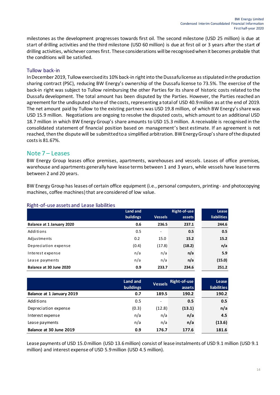milestones as the development progresses towards first oil. The second milestone (USD 25 million) is due at start of drilling activities and the third milestone (USD 60 million) is due at first oil or 3 years after the start of drilling activities, whichever comes first. These considerations will be recognised when it becomes probable that the conditions will be satisfied.

### Tullow back-in

In December 2019, Tullow exercised its 10% back-in right into the Dussafu license as stipulated in the production sharing contract (PSC), reducing BW Energy's ownership of the Dussafu license to 73.5%. The exercise of the back-in right was subject to Tullow reimbursing the other Parties for its share of historic costs related to the Dussafu development. The total amount has been disputed by the Parties. However, the Parties reached an agreement for the undisputed share of the costs, representing a total of USD 40.9 million as at the end of 2019. The net amount paid by Tullow to the existing partners was USD 19.8 million, of which BW Energy's share was USD 15.9 million. Negotiations are ongoing to resolve the disputed costs, which amount to an additional USD 18.7 million in which BW Energy Group's share amounts to USD 15.3 million. A receivable is recognised in the consolidated statement of financial position based on management's best estimate. If an agreement is not reached, then the dispute will be submitted to a simplified arbitration. BW Energy Group's share of the disputed costs is 81.67%.

### Note 7 – Leases

BW Energy Group leases office premises, apartments, warehouses and vessels. Leases of office premises, warehouse and apartments generally have lease terms between 1 and 3 years, while vessels have lease terms between 2 and 20 years.

BW Energy Group has leases of certain office equipment (i.e., personal computers, printing- and photocopying machines, coffee machines) that are considered of low value.

|                           | Land and  |                          | Right-of-use | Lease              |
|---------------------------|-----------|--------------------------|--------------|--------------------|
|                           | buildings | <b>Vessels</b>           | assets       | <b>liabilities</b> |
| Balance at 1 January 2020 | 0.6       | 236.5                    | 237.1        | 244.6              |
| Additions                 | 0.5       | $\overline{\phantom{0}}$ | 0.5          | 0.5                |
| Adjustments               | 0.2       | 15.0                     | 15.2         | 15.2               |
| Depreciation expense      | (0.4)     | (17.8)                   | (18.2)       | n/a                |
| Interest expense          | n/a       | n/a                      | n/a          | 5.9                |
| Lease payments            | n/a       | n/a                      | n/a          | (15.0)             |
| Balance at 30 June 2020   | 0.9       | 233.7                    | 234.6        | 251.2              |

#### Right-of-use assets and Lease liabilities

|                           | Land and<br><b>buildings</b> | <b>Vessels</b>           | <b>Right-of-use</b><br>assets | Lease<br>liabilities |
|---------------------------|------------------------------|--------------------------|-------------------------------|----------------------|
| Balance at 1 January 2019 | 0.7                          | 189.5                    | 190.2                         | 190.2                |
| Additions                 | 0.5                          | $\overline{\phantom{a}}$ | 0.5                           | 0.5                  |
| Depreciation expense      | (0.3)                        | (12.8)                   | (13.1)                        | n/a                  |
| Interest expense          | n/a                          | n/a                      | n/a                           | 4.5                  |
| Lease payments            | n/a                          | n/a                      | n/a                           | (13.6)               |
| Balance at 30 June 2019   | 0.9                          | 176.7                    | 177.6                         | 181.6                |

Lease payments of USD 15.0million (USD 13.6 million) consist of lease instalments of USD 9.1 million (USD 9.1 million) and interest expense of USD 5.9million (USD 4.5 million).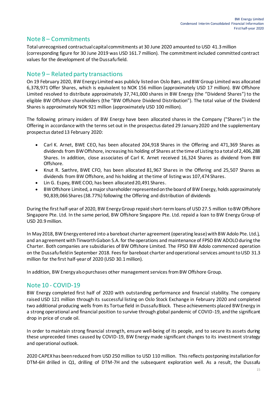## Note 8 – Commitments

Total unrecognised contractual capital commitments at 30 June 2020 amounted to USD 41.3million (corresponding figure for 30 June 2019 was USD 161.7 million). The commitment included committed contract values for the development of the Dussafu field.

## Note 9 – Related party transactions

On 19 February 2020, BW Energy Limited was publicly listed on Oslo Børs, and BW Group Limited was allocated 6,378,971 Offer Shares, which is equivalent to NOK 156 million (approximately USD 17 million). BW Offshore Limited resolved to distribute approximately 37,741,000 shares in BW Energy (the "Dividend Shares") to the eligible BW Offshore shareholders (the "BW Offshore Dividend Distribution"). The total value of the Dividend Shares is approximately NOK 921 million (approximately USD 100 million).

The following primary insiders of BW Energy have been allocated shares in the Company ("Shares") in the Offering in accordance with the terms set out in the prospectus dated 29 January 2020 and the supplementary prospectus dated 13 February 2020:

- Carl K. Arnet, BWE CEO, has been allocated 204,918 Shares in the Offering and 471,369 Shares as dividends from BW Offshore, increasing his holding of Shares at the time of Listing to a total of 2,406,288 Shares. In addition, close associates of Carl K. Arnet received 16,324 Shares as dividend from BW Offshore.
- Knut R. Sæthre, BWE CFO, has been allocated 81,967 Shares in the Offering and 25,507 Shares as dividends from BW Offshore, and his holding at the time of listing was 107,474 Shares.
- Lin G. Espey, BWE COO, has been allocated 20,491 Shares.
- BW Offshore Limited, a major shareholder represented on the board of BW Energy, holds approximately 90,839,066 Shares (38.77%) following the Offering and distribution of dividends

During the first half-year of 2020, BW Energy Group repaid short-term loans of USD 27.5 million to BW Offshore Singapore Pte. Ltd. In the same period, BW Offshore Singapore Pte. Ltd. repaid a loan to BW Energy Group of USD 20.9 million.

In May 2018, BW Energy entered into a bareboat charter agreement (operating lease) with BW Adolo Pte. Ltd.), and an agreement with Tinworth Gabon S.A. for the operations and maintenance of FPSO BW ADOLO during the Charter. Both companies are subsidiaries of BW Offshore Limited. The FPSO BW Adolo commenced operation on the Dussafu field in September 2018. Fees for bareboat charter and operational services amount to USD 31.3 million for the first half-year of 2020 (USD 30.1million).

In addition, BW Energy also purchases other management services from BW Offshore Group.

## Note 10 - COVID-19

BW Energy completed first half of 2020 with outstanding performance and financial stability. The company raised USD 121 million through its successful listing on Oslo Stock Exchange in February 2020 and completed two additional producing wells from its Tortue field in Dussafu Block. These achievements placed BW Energy in a strong operational and financial position to survive through global pandemic of COVID-19, and the significant drop in price of crude oil.

In order to maintain strong financial strength, ensure well-being of its people, and to secure its assets during these unpreceded times caused by COVID-19, BW Energy made significant changes to its investment strategy and operational outlook.

2020 CAPEX has been reduced from USD 250 million to USD 110 million. This reflects postponing installation for DTM-6H drilled in Q1, drilling of DTM-7H and the subsequent exploration well. As a result, the Dussafu